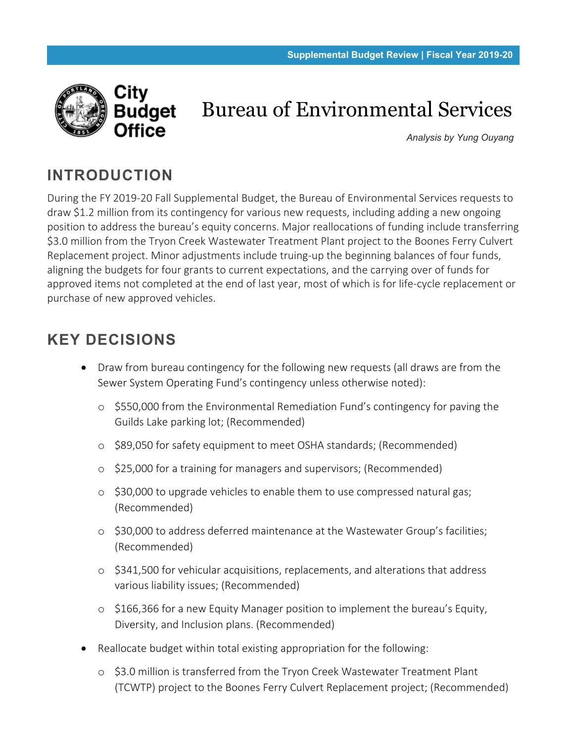

# Bureau of Environmental Services

*Analysis by Yung Ouyang*

# **INTRODUCTION**

During the FY 2019-20 Fall Supplemental Budget, the Bureau of Environmental Services requests to draw \$1.2 million from its contingency for various new requests, including adding a new ongoing position to address the bureau's equity concerns. Major reallocations of funding include transferring \$3.0 million from the Tryon Creek Wastewater Treatment Plant project to the Boones Ferry Culvert Replacement project. Minor adjustments include truing-up the beginning balances of four funds, aligning the budgets for four grants to current expectations, and the carrying over of funds for approved items not completed at the end of last year, most of which is for life-cycle replacement or purchase of new approved vehicles.

# **KEY DECISIONS**

- Draw from bureau contingency for the following new requests (all draws are from the Sewer System Operating Fund's contingency unless otherwise noted):
	- o \$550,000 from the Environmental Remediation Fund's contingency for paving the Guilds Lake parking lot; (Recommended)
	- o \$89,050 for safety equipment to meet OSHA standards; (Recommended)
	- o \$25,000 for a training for managers and supervisors; (Recommended)
	- o \$30,000 to upgrade vehicles to enable them to use compressed natural gas; (Recommended)
	- o \$30,000 to address deferred maintenance at the Wastewater Group's facilities; (Recommended)
	- o \$341,500 for vehicular acquisitions, replacements, and alterations that address various liability issues; (Recommended)
	- o \$166,366 for a new Equity Manager position to implement the bureau's Equity, Diversity, and Inclusion plans. (Recommended)
- Reallocate budget within total existing appropriation for the following:
	- o \$3.0 million is transferred from the Tryon Creek Wastewater Treatment Plant (TCWTP) project to the Boones Ferry Culvert Replacement project; (Recommended)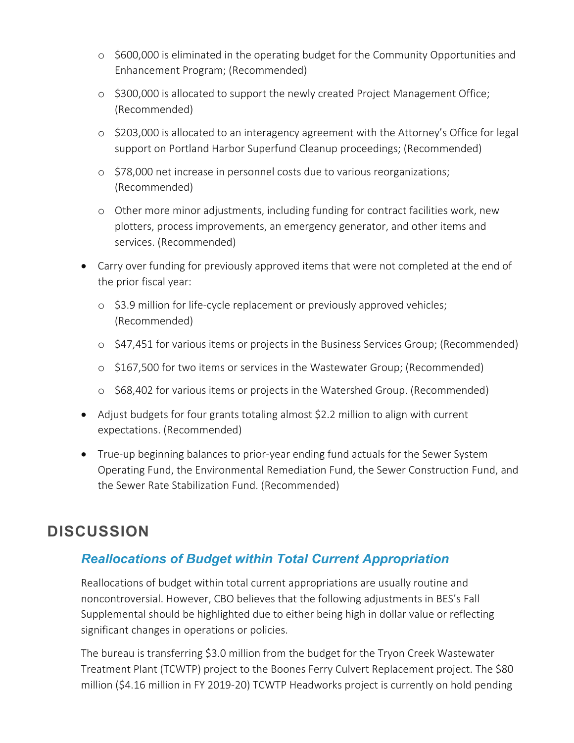- o \$600,000 is eliminated in the operating budget for the Community Opportunities and Enhancement Program; (Recommended)
- o \$300,000 is allocated to support the newly created Project Management Office; (Recommended)
- o \$203,000 is allocated to an interagency agreement with the Attorney's Office for legal support on Portland Harbor Superfund Cleanup proceedings; (Recommended)
- o \$78,000 net increase in personnel costs due to various reorganizations; (Recommended)
- o Other more minor adjustments, including funding for contract facilities work, new plotters, process improvements, an emergency generator, and other items and services. (Recommended)
- Carry over funding for previously approved items that were not completed at the end of the prior fiscal year:
	- o \$3.9 million for life-cycle replacement or previously approved vehicles; (Recommended)
	- o \$47,451 for various items or projects in the Business Services Group; (Recommended)
	- o \$167,500 for two items or services in the Wastewater Group; (Recommended)
	- o \$68,402 for various items or projects in the Watershed Group. (Recommended)
- Adjust budgets for four grants totaling almost \$2.2 million to align with current expectations. (Recommended)
- True-up beginning balances to prior-year ending fund actuals for the Sewer System Operating Fund, the Environmental Remediation Fund, the Sewer Construction Fund, and the Sewer Rate Stabilization Fund. (Recommended)

# **DISCUSSION**

#### *Reallocations of Budget within Total Current Appropriation*

Reallocations of budget within total current appropriations are usually routine and noncontroversial. However, CBO believes that the following adjustments in BES's Fall Supplemental should be highlighted due to either being high in dollar value or reflecting significant changes in operations or policies.

The bureau is transferring \$3.0 million from the budget for the Tryon Creek Wastewater Treatment Plant (TCWTP) project to the Boones Ferry Culvert Replacement project. The \$80 million (\$4.16 million in FY 2019-20) TCWTP Headworks project is currently on hold pending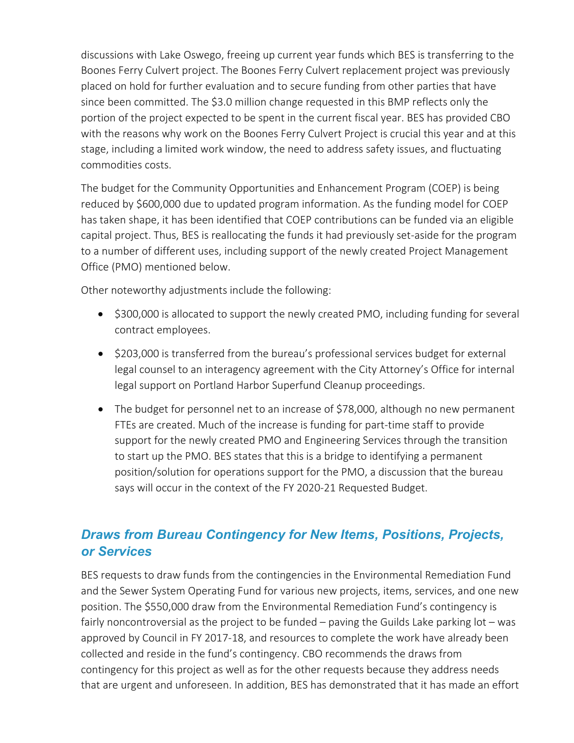discussions with Lake Oswego, freeing up current year funds which BES is transferring to the Boones Ferry Culvert project. The Boones Ferry Culvert replacement project was previously placed on hold for further evaluation and to secure funding from other parties that have since been committed. The \$3.0 million change requested in this BMP reflects only the portion of the project expected to be spent in the current fiscal year. BES has provided CBO with the reasons why work on the Boones Ferry Culvert Project is crucial this year and at this stage, including a limited work window, the need to address safety issues, and fluctuating commodities costs.

The budget for the Community Opportunities and Enhancement Program (COEP) is being reduced by \$600,000 due to updated program information. As the funding model for COEP has taken shape, it has been identified that COEP contributions can be funded via an eligible capital project. Thus, BES is reallocating the funds it had previously set-aside for the program to a number of different uses, including support of the newly created Project Management Office (PMO) mentioned below.

Other noteworthy adjustments include the following:

- \$300,000 is allocated to support the newly created PMO, including funding for several contract employees.
- \$203,000 is transferred from the bureau's professional services budget for external legal counsel to an interagency agreement with the City Attorney's Office for internal legal support on Portland Harbor Superfund Cleanup proceedings.
- The budget for personnel net to an increase of \$78,000, although no new permanent FTEs are created. Much of the increase is funding for part-time staff to provide support for the newly created PMO and Engineering Services through the transition to start up the PMO. BES states that this is a bridge to identifying a permanent position/solution for operations support for the PMO, a discussion that the bureau says will occur in the context of the FY 2020-21 Requested Budget.

#### *Draws from Bureau Contingency for New Items, Positions, Projects, or Services*

BES requests to draw funds from the contingencies in the Environmental Remediation Fund and the Sewer System Operating Fund for various new projects, items, services, and one new position. The \$550,000 draw from the Environmental Remediation Fund's contingency is fairly noncontroversial as the project to be funded – paving the Guilds Lake parking lot – was approved by Council in FY 2017-18, and resources to complete the work have already been collected and reside in the fund's contingency. CBO recommends the draws from contingency for this project as well as for the other requests because they address needs that are urgent and unforeseen. In addition, BES has demonstrated that it has made an effort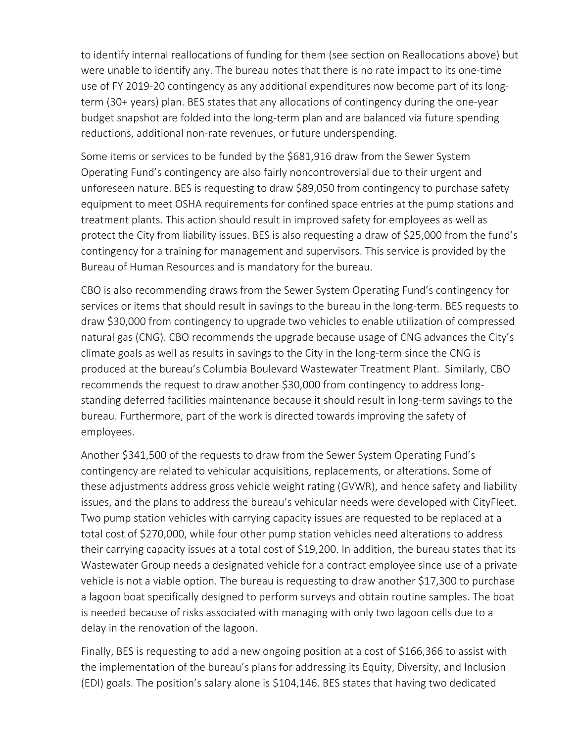to identify internal reallocations of funding for them (see section on Reallocations above) but were unable to identify any. The bureau notes that there is no rate impact to its one-time use of FY 2019-20 contingency as any additional expenditures now become part of its longterm (30+ years) plan. BES states that any allocations of contingency during the one-year budget snapshot are folded into the long-term plan and are balanced via future spending reductions, additional non-rate revenues, or future underspending.

Some items or services to be funded by the \$681,916 draw from the Sewer System Operating Fund's contingency are also fairly noncontroversial due to their urgent and unforeseen nature. BES is requesting to draw \$89,050 from contingency to purchase safety equipment to meet OSHA requirements for confined space entries at the pump stations and treatment plants. This action should result in improved safety for employees as well as protect the City from liability issues. BES is also requesting a draw of \$25,000 from the fund's contingency for a training for management and supervisors. This service is provided by the Bureau of Human Resources and is mandatory for the bureau.

CBO is also recommending draws from the Sewer System Operating Fund's contingency for services or items that should result in savings to the bureau in the long-term. BES requests to draw \$30,000 from contingency to upgrade two vehicles to enable utilization of compressed natural gas (CNG). CBO recommends the upgrade because usage of CNG advances the City's climate goals as well as results in savings to the City in the long-term since the CNG is produced at the bureau's Columbia Boulevard Wastewater Treatment Plant. Similarly, CBO recommends the request to draw another \$30,000 from contingency to address longstanding deferred facilities maintenance because it should result in long-term savings to the bureau. Furthermore, part of the work is directed towards improving the safety of employees.

Another \$341,500 of the requests to draw from the Sewer System Operating Fund's contingency are related to vehicular acquisitions, replacements, or alterations. Some of these adjustments address gross vehicle weight rating (GVWR), and hence safety and liability issues, and the plans to address the bureau's vehicular needs were developed with CityFleet. Two pump station vehicles with carrying capacity issues are requested to be replaced at a total cost of \$270,000, while four other pump station vehicles need alterations to address their carrying capacity issues at a total cost of \$19,200. In addition, the bureau states that its Wastewater Group needs a designated vehicle for a contract employee since use of a private vehicle is not a viable option. The bureau is requesting to draw another \$17,300 to purchase a lagoon boat specifically designed to perform surveys and obtain routine samples. The boat is needed because of risks associated with managing with only two lagoon cells due to a delay in the renovation of the lagoon.

Finally, BES is requesting to add a new ongoing position at a cost of \$166,366 to assist with the implementation of the bureau's plans for addressing its Equity, Diversity, and Inclusion (EDI) goals. The position's salary alone is \$104,146. BES states that having two dedicated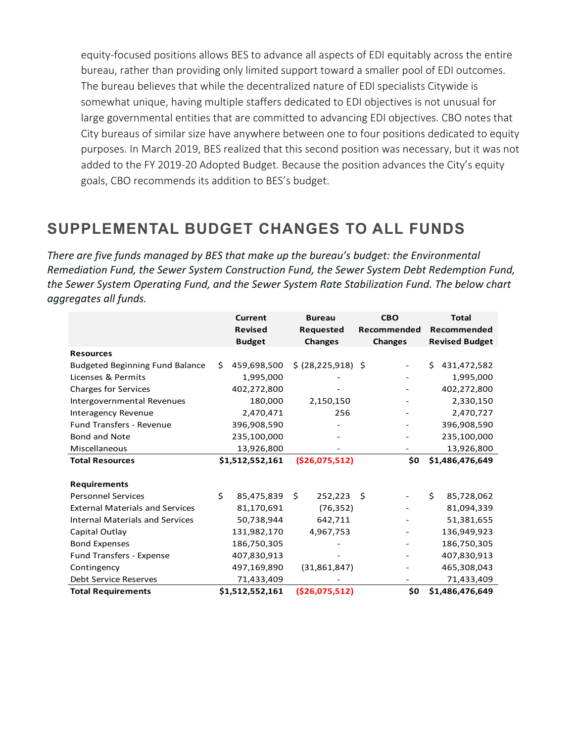equity-focused positions allows BES to advance all aspects of EDI equitably across the entire bureau, rather than providing only limited support toward a smaller pool of EDI outcomes. The bureau believes that while the decentralized nature of EDI specialists Citywide is somewhat unique, having multiple staffers dedicated to EDI objectives is not unusual for large governmental entities that are committed to advancing EDI objectives. CBO notes that City bureaus of similar size have anywhere between one to four positions dedicated to equity purposes. In March 2019, BES realized that this second position was necessary, but it was not added to the FY 2019-20 Adopted Budget. Because the position advances the City's equity goals, CBO recommends its addition to BES's budget.

## **SUPPLEMENTAL BUDGET CHANGES TO ALL FUNDS**

*There are five funds managed by BES that make up the bureau's budget: the Environmental Remediation Fund, the Sewer System Construction Fund, the Sewer System Debt Redemption Fund, the Sewer System Operating Fund, and the Sewer System Rate Stabilization Fund. The below chart aggregates all funds.* 

|                                        |    | <b>Current</b>  | <b>Bureau</b>        | <b>CBO</b>                     |    | <b>Total</b>          |
|----------------------------------------|----|-----------------|----------------------|--------------------------------|----|-----------------------|
|                                        |    | <b>Revised</b>  | Requested            | Recommended                    |    | Recommended           |
|                                        |    | <b>Budget</b>   | <b>Changes</b>       | <b>Changes</b>                 |    | <b>Revised Budget</b> |
| <b>Resources</b>                       |    |                 |                      |                                |    |                       |
| <b>Budgeted Beginning Fund Balance</b> | Ś. | 459,698,500     | \$ (28, 225, 918) \$ |                                | Ś. | 431,472,582           |
| Licenses & Permits                     |    | 1,995,000       |                      |                                |    | 1,995,000             |
| <b>Charges for Services</b>            |    | 402,272,800     |                      |                                |    | 402,272,800           |
| Intergovernmental Revenues             |    | 180,000         | 2,150,150            |                                |    | 2,330,150             |
| Interagency Revenue                    |    | 2,470,471       | 256                  |                                |    | 2,470,727             |
| <b>Fund Transfers - Revenue</b>        |    | 396,908,590     |                      |                                |    | 396,908,590           |
| <b>Bond and Note</b>                   |    | 235,100,000     | ٠                    |                                |    | 235,100,000           |
| Miscellaneous                          |    | 13,926,800      |                      |                                |    | 13,926,800            |
| <b>Total Resources</b>                 |    | \$1,512,552,161 | ( \$26,075,512)      | \$0                            |    | \$1,486,476,649       |
|                                        |    |                 |                      |                                |    |                       |
| <b>Requirements</b>                    |    |                 |                      |                                |    |                       |
| <b>Personnel Services</b>              | Ś. | 85,475,839      | Ś.<br>252,223        | \$<br>$\overline{\phantom{a}}$ | Ś. | 85,728,062            |
| <b>External Materials and Services</b> |    | 81,170,691      | (76, 352)            | $\overline{\phantom{a}}$       |    | 81,094,339            |
| <b>Internal Materials and Services</b> |    | 50,738,944      | 642,711              |                                |    | 51,381,655            |
| Capital Outlay                         |    | 131,982,170     | 4,967,753            |                                |    | 136,949,923           |
| <b>Bond Expenses</b>                   |    | 186,750,305     |                      |                                |    | 186,750,305           |
| Fund Transfers - Expense               |    | 407,830,913     |                      |                                |    | 407,830,913           |
| Contingency                            |    | 497,169,890     | (31,861,847)         |                                |    | 465,308,043           |
| Debt Service Reserves                  |    | 71,433,409      |                      |                                |    | 71,433,409            |
| <b>Total Requirements</b>              |    | \$1,512,552,161 | ( \$26,075,512)      | \$0                            |    | \$1,486,476,649       |